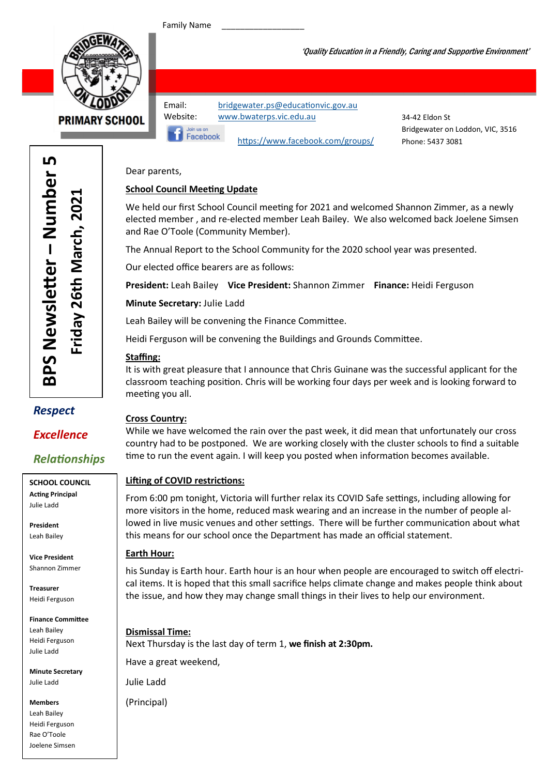Family Name



'Quality Education in a Friendly, Caring and Supportive Environment'

Facebook

Email: bridgewater.ps@educationvic.gov.au Website: www.bwaterps.vic.edu.au

34-42 Eldon St Bridgewater on Loddon, VIC, 3516 Phone: 5437 3081

Dear parents,

#### **School Council Meeting Update**

We held our first School Council meeting for 2021 and welcomed Shannon Zimmer, as a newly elected member , and re-elected member Leah Bailey. We also welcomed back Joelene Simsen and Rae O'Toole (Community Member).

The Annual Report to the School Community for the 2020 school year was presented.

https://www.facebook.com/groups/

Our elected office bearers are as follows:

President: Leah Bailey Vice President: Shannon Zimmer Finance: Heidi Ferguson

Minute Secretary: Julie Ladd

Leah Bailey will be convening the Finance Committee.

Heidi Ferguson will be convening the Buildings and Grounds Committee.

#### Staffing:

It is with great pleasure that I announce that Chris Guinane was the successful applicant for the classroom teaching position. Chris will be working four days per week and is looking forward to meeting you all.

### Respect

### Excellence

## **Relationships**

SCHOOL COUNCIL **Acting Principal** Julie Ladd

President Leah Bailey

Vice President Shannon Zimmer

Treasurer Heidi Ferguson

Finance Committee Leah Bailey Heidi Ferguson Julie Ladd

Minute Secretary Julie Ladd

Members Leah Bailey Heidi Ferguson Rae O'Toole Joelene Simsen

#### Cross Country:

While we have welcomed the rain over the past week, it did mean that unfortunately our cross country had to be postponed. We are working closely with the cluster schools to find a suitable time to run the event again. I will keep you posted when information becomes available.

#### Lifting of COVID restrictions:

From 6:00 pm tonight, Victoria will further relax its COVID Safe settings, including allowing for more visitors in the home, reduced mask wearing and an increase in the number of people allowed in live music venues and other settings. There will be further communication about what this means for our school once the Department has made an official statement.

#### Earth Hour:

his Sunday is Earth hour. Earth hour is an hour when people are encouraged to switch off electrical items. It is hoped that this small sacrifice helps climate change and makes people think about the issue, and how they may change small things in their lives to help our environment.

Dismissal Time: Next Thursday is the last day of term 1, we finish at 2:30pm. Have a great weekend,

Julie Ladd

(Principal)

LŊ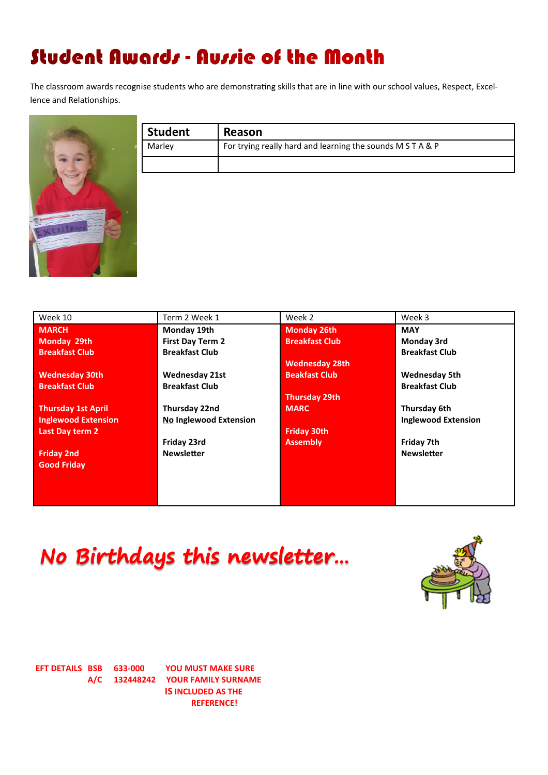# Student Awards - Aussie of the Month

The classroom awards recognise students who are demonstrating skills that are in line with our school values, Respect, Excellence and Relationships.



| Reason                                                     |
|------------------------------------------------------------|
| For trying really hard and learning the sounds M S T A & P |
|                                                            |
|                                                            |
|                                                            |
|                                                            |
|                                                            |

| Week 10                    | Term 2 Week 1                 | Week 2                | Week 3                     |
|----------------------------|-------------------------------|-----------------------|----------------------------|
| <b>MARCH</b>               | Monday 19th                   | <b>Monday 26th</b>    | <b>MAY</b>                 |
| Monday 29th                | <b>First Day Term 2</b>       | <b>Breakfast Club</b> | Monday 3rd                 |
| <b>Breakfast Club</b>      | <b>Breakfast Club</b>         |                       | <b>Breakfast Club</b>      |
|                            |                               | <b>Wednesday 28th</b> |                            |
| <b>Wednesday 30th</b>      | <b>Wednesday 21st</b>         | <b>Beakfast Club</b>  | <b>Wednesday 5th</b>       |
| <b>Breakfast Club</b>      | <b>Breakfast Club</b>         |                       | <b>Breakfast Club</b>      |
|                            |                               | <b>Thursday 29th</b>  |                            |
| <b>Thursday 1st April</b>  | Thursday 22nd                 | <b>MARC</b>           | Thursday 6th               |
| <b>Inglewood Extension</b> | <b>No Inglewood Extension</b> |                       | <b>Inglewood Extension</b> |
| Last Day term 2            |                               | <b>Friday 30th</b>    |                            |
|                            | Friday 23rd                   | <b>Assembly</b>       | Friday 7th                 |
| <b>Friday 2nd</b>          | <b>Newsletter</b>             |                       | <b>Newsletter</b>          |
| <b>Good Friday</b>         |                               |                       |                            |
|                            |                               |                       |                            |
|                            |                               |                       |                            |
|                            |                               |                       |                            |

No Birthdays this newsletter...



EFT DETAILS BSB 633-000 YOU MUST MAKE SURE A/C 132448242 YOUR FAMILY SURNAME IS INCLUDED AS THE REFERENCE!